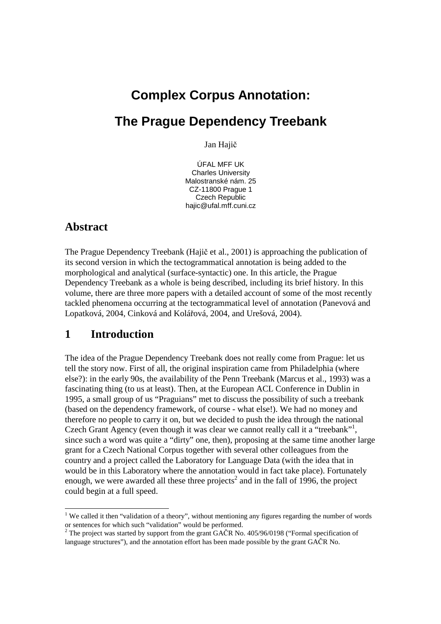# **Complex Corpus Annotation: The Prague Dependency Treebank**

Jan Hajič

ÚFAL MFF UK Charles University Malostranské nám. 25 CZ-11800 Prague 1 Czech Republic hajic@ufal.mff.cuni.cz

# **Abstract**

 $\overline{a}$ 

The Prague Dependency Treebank (Hajič et al., 2001) is approaching the publication of its second version in which the tectogrammatical annotation is being added to the morphological and analytical (surface-syntactic) one. In this article, the Prague Dependency Treebank as a whole is being described, including its brief history. In this volume, there are three more papers with a detailed account of some of the most recently tackled phenomena occurring at the tectogrammatical level of annotation (Panevová and Lopatková, 2004, Cinková and Kolářová, 2004, and Urešová, 2004).

# **1 Introduction**

The idea of the Prague Dependency Treebank does not really come from Prague: let us tell the story now. First of all, the original inspiration came from Philadelphia (where else?): in the early 90s, the availability of the Penn Treebank (Marcus et al., 1993) was a fascinating thing (to us at least). Then, at the European ACL Conference in Dublin in 1995, a small group of us "Praguians" met to discuss the possibility of such a treebank (based on the dependency framework, of course - what else!). We had no money and therefore no people to carry it on, but we decided to push the idea through the national Czech Grant Agency (even though it was clear we cannot really call it a "treebank"<sup>1</sup>, since such a word was quite a "dirty" one, then), proposing at the same time another large grant for a Czech National Corpus together with several other colleagues from the country and a project called the Laboratory for Language Data (with the idea that in would be in this Laboratory where the annotation would in fact take place). Fortunately enough, we were awarded all these three projects<sup>2</sup> and in the fall of 1996, the project could begin at a full speed.

<sup>&</sup>lt;sup>1</sup> We called it then "validation of a theory", without mentioning any figures regarding the number of words or sentences for which such "validation" would be performed.

<sup>&</sup>lt;sup>2</sup> The project was started by support from the grant GAČR No. 405/96/0198 ("Formal specification of language structures"), and the annotation effort has been made possible by the grant GAČR No.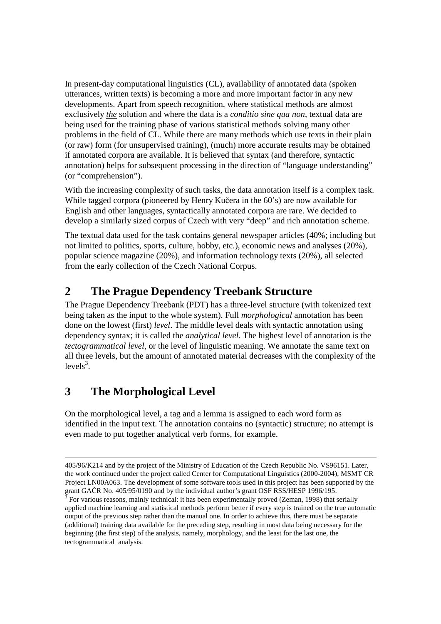In present-day computational linguistics (CL), availability of annotated data (spoken utterances, written texts) is becoming a more and more important factor in any new developments. Apart from speech recognition, where statistical methods are almost exclusively *the* solution and where the data is a *conditio sine qua non*, textual data are being used for the training phase of various statistical methods solving many other problems in the field of CL. While there are many methods which use texts in their plain (or raw) form (for unsupervised training), (much) more accurate results may be obtained if annotated corpora are available. It is believed that syntax (and therefore, syntactic annotation) helps for subsequent processing in the direction of "language understanding" (or "comprehension").

With the increasing complexity of such tasks, the data annotation itself is a complex task. While tagged corpora (pioneered by Henry Kučera in the 60's) are now available for English and other languages, syntactically annotated corpora are rare. We decided to develop a similarly sized corpus of Czech with very "deep" and rich annotation scheme.

The textual data used for the task contains general newspaper articles (40%; including but not limited to politics, sports, culture, hobby, etc.), economic news and analyses (20%), popular science magazine (20%), and information technology texts (20%), all selected from the early collection of the Czech National Corpus.

# **2 The Prague Dependency Treebank Structure**

The Prague Dependency Treebank (PDT) has a three-level structure (with tokenized text being taken as the input to the whole system). Full *morphological* annotation has been done on the lowest (first) *level*. The middle level deals with syntactic annotation using dependency syntax; it is called the *analytical level*. The highest level of annotation is the *tectogrammatical level*, or the level of linguistic meaning. We annotate the same text on all three levels, but the amount of annotated material decreases with the complexity of the levels<sup>3</sup>.

# **3 The Morphological Level**

1

On the morphological level, a tag and a lemma is assigned to each word form as identified in the input text. The annotation contains no (syntactic) structure; no attempt is even made to put together analytical verb forms, for example.

<sup>405/96/</sup>K214 and by the project of the Ministry of Education of the Czech Republic No. VS96151. Later, the work continued under the project called Center for Computational Linguistics (2000-2004), MSMT CR Project LN00A063. The development of some software tools used in this project has been supported by the grant GAČR No. 405/95/0190 and by the individual author's grant OSF RSS/HESP 1996/195.

For various reasons, mainly technical: it has been experimentally proved (Zeman, 1998) that serially applied machine learning and statistical methods perform better if every step is trained on the true automatic output of the previous step rather than the manual one. In order to achieve this, there must be separate (additional) training data available for the preceding step, resulting in most data being necessary for the beginning (the first step) of the analysis, namely, morphology, and the least for the last one, the tectogrammatical analysis.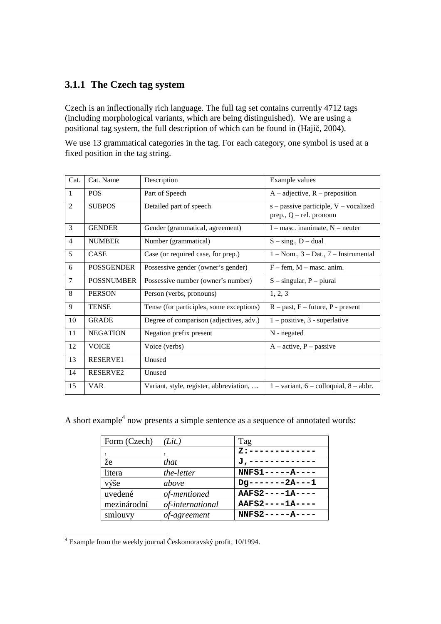## **3.1.1 The Czech tag system**

Czech is an inflectionally rich language. The full tag set contains currently 4712 tags (including morphological variants, which are being distinguished). We are using a positional tag system, the full description of which can be found in (Hajič, 2004).

We use 13 grammatical categories in the tag. For each category, one symbol is used at a fixed position in the tag string.

| Cat.           | Cat. Name         | Description                              | Example values                                                         |  |
|----------------|-------------------|------------------------------------------|------------------------------------------------------------------------|--|
| $\mathbf{1}$   | <b>POS</b>        | Part of Speech                           | $A$ – adjective, $R$ – preposition                                     |  |
| $\overline{2}$ | <b>SUBPOS</b>     | Detailed part of speech                  | $s$ – passive participle, $V$ – vocalized<br>prep., $Q$ – rel. pronoun |  |
| $\overline{3}$ | <b>GENDER</b>     | Gender (grammatical, agreement)          | $I$ – masc. inanimate, $N$ – neuter                                    |  |
| $\overline{4}$ | <b>NUMBER</b>     | Number (grammatical)                     | $S - sing., D - dual$                                                  |  |
| 5              | <b>CASE</b>       | Case (or required case, for prep.)       | $1 - \text{Nom.}, 3 - \text{ Dat.}, 7 - \text{Instrumental}$           |  |
| 6              | <b>POSSGENDER</b> | Possessive gender (owner's gender)       | $F - fem$ , $M - masc$ . anim.                                         |  |
| $\overline{7}$ | <b>POSSNUMBER</b> | Possessive number (owner's number)       | $S$ – singular, P – plural                                             |  |
| 8              | <b>PERSON</b>     | Person (verbs, pronouns)                 | 1, 2, 3                                                                |  |
| 9              | TENSE             | Tense (for participles, some exceptions) | $R - past$ , $F - future$ , $P - present$                              |  |
| 10             | <b>GRADE</b>      | Degree of comparison (adjectives, adv.)  | $1 - positive, 3 - superlative$                                        |  |
| 11             | <b>NEGATION</b>   | Negation prefix present                  | $N$ - negated                                                          |  |
| 12             | <b>VOICE</b>      | Voice (verbs)                            | $A - active, P - passive$                                              |  |
| 13             | <b>RESERVE1</b>   | Unused                                   |                                                                        |  |
| 14             | RESERVE2          | Unused                                   |                                                                        |  |
| 15             | <b>VAR</b>        | Variant, style, register, abbreviation,  | $1 - \text{variant}, 6 - \text{colloquial}, 8 - \text{abbr}.$          |  |

A short example<sup>4</sup> now presents a simple sentence as a sequence of annotated words:

| Form (Czech) | (Lit.)           | Tag                |
|--------------|------------------|--------------------|
|              |                  | $Z:$ ----------    |
| že           | that             | J,---------        |
| litera       | the-letter       | $NNFS1---A---$     |
| výše         | above            | $Dq$ -------2A---1 |
| uvedené      | of-mentioned     | $AAFS2---1A---$    |
| mezinárodní  | of-international | AAFS2----1A----    |
| smlouvy      | of-agreement     | $NNFS2---A---A$    |

4 Example from the weekly journal Českomoravský profit, 10/1994.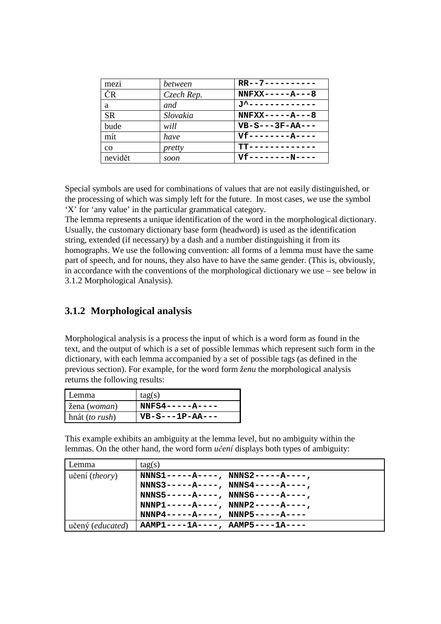| mezi      | between    | $RR--7---------$                   |
|-----------|------------|------------------------------------|
| ČR        | Czech Rep. | $NNFXX---A---8$                    |
| a         | and        | <u> ゴ<sup>ム</sup>ーーーーーーーーーーーーー</u> |
| <b>SR</b> | Slovakia   | $NNFXX---A---8$                    |
| bude      | will       | $VB-S---3F-AA---$                  |
| mít       | have       | $Vf$ -------- $A$ ----             |
| $\rm{CO}$ | pretty     | $TT - - - - - - - - - -$           |
| nevidět   | soon       | $Vf$ --------N----                 |

Special symbols are used for combinations of values that are not easily distinguished, or the processing of which was simply left for the future. In most cases, we use the symbol 'X' for 'any value' in the particular grammatical category.

The lemma represents a unique identification of the word in the morphological dictionary. Usually, the customary dictionary base form (headword) is used as the identification string, extended (if necessary) by a dash and a number distinguishing it from its homographs. We use the following convention: all forms of a lemma must have the same part of speech, and for nouns, they also have to have the same gender. (This is, obviously, in accordance with the conventions of the morphological dictionary we use – see below in 3.1.2 Morphological Analysis).

#### **3.1.2 Morphological analysis**

Morphological analysis is a process the input of which is a word form as found in the text, and the output of which is a set of possible lemmas which represent such form in the dictionary, with each lemma accompanied by a set of possible tags (as defined in the previous section). For example, for the word form *ženu* the morphological analysis returns the following results:

| l Lemma                 | tag(s)           |
|-------------------------|------------------|
| žena (woman)            | $NNFS4---A---A$  |
| hnát ( <i>to rush</i> ) | $VB-S--1P-AA---$ |

This example exhibits an ambiguity at the lemma level, but no ambiguity within the lemmas. On the other hand, the word form *u*č*ení* displays both types of ambiguity:

| Lemma                     | tag(s)                            |
|---------------------------|-----------------------------------|
| učení ( <i>theory</i> )   | $NNNS1---A---, NNNS2---A---,$     |
|                           | $NNNS3---A---, NNNS4---A---$      |
|                           | $NNNS5---A---A$ , $NNNS6---A---A$ |
|                           | $NNNP1---A---, NNNP2---A---,$     |
|                           | $NNNP4---A---, NNNP5---A---$      |
| učený ( <i>educated</i> ) | $AAMP1---1A---, AAMP5---1A---$    |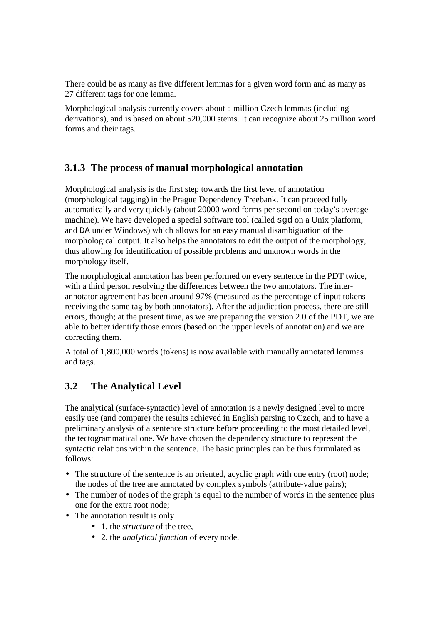There could be as many as five different lemmas for a given word form and as many as 27 different tags for one lemma.

Morphological analysis currently covers about a million Czech lemmas (including derivations), and is based on about 520,000 stems. It can recognize about 25 million word forms and their tags.

## **3.1.3 The process of manual morphological annotation**

Morphological analysis is the first step towards the first level of annotation (morphological tagging) in the Prague Dependency Treebank. It can proceed fully automatically and very quickly (about 20000 word forms per second on today's average machine). We have developed a special software tool (called sgd on a Unix platform, and DA under Windows) which allows for an easy manual disambiguation of the morphological output. It also helps the annotators to edit the output of the morphology, thus allowing for identification of possible problems and unknown words in the morphology itself.

The morphological annotation has been performed on every sentence in the PDT twice, with a third person resolving the differences between the two annotators. The interannotator agreement has been around 97% (measured as the percentage of input tokens receiving the same tag by both annotators). After the adjudication process, there are still errors, though; at the present time, as we are preparing the version 2.0 of the PDT, we are able to better identify those errors (based on the upper levels of annotation) and we are correcting them.

A total of 1,800,000 words (tokens) is now available with manually annotated lemmas and tags.

## **3.2 The Analytical Level**

The analytical (surface-syntactic) level of annotation is a newly designed level to more easily use (and compare) the results achieved in English parsing to Czech, and to have a preliminary analysis of a sentence structure before proceeding to the most detailed level, the tectogrammatical one. We have chosen the dependency structure to represent the syntactic relations within the sentence. The basic principles can be thus formulated as follows:

- The structure of the sentence is an oriented, acyclic graph with one entry (root) node; the nodes of the tree are annotated by complex symbols (attribute-value pairs);
- The number of nodes of the graph is equal to the number of words in the sentence plus one for the extra root node;
- The annotation result is only
	- 1. the *structure* of the tree,
	- 2. the *analytical function* of every node.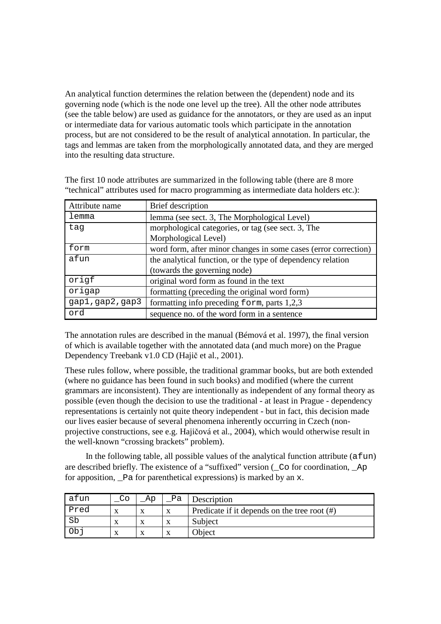An analytical function determines the relation between the (dependent) node and its governing node (which is the node one level up the tree). All the other node attributes (see the table below) are used as guidance for the annotators, or they are used as an input or intermediate data for various automatic tools which participate in the annotation process, but are not considered to be the result of analytical annotation. In particular, the tags and lemmas are taken from the morphologically annotated data, and they are merged into the resulting data structure.

| Attribute name   | Brief description                                               |  |  |
|------------------|-----------------------------------------------------------------|--|--|
| lemma            | lemma (see sect. 3, The Morphological Level)                    |  |  |
| tag              | morphological categories, or tag (see sect. 3, The              |  |  |
|                  | Morphological Level)                                            |  |  |
| form             | word form, after minor changes in some cases (error correction) |  |  |
| afun             | the analytical function, or the type of dependency relation     |  |  |
|                  | (towards the governing node)                                    |  |  |
| origf            | original word form as found in the text                         |  |  |
| origap           | formatting (preceding the original word form)                   |  |  |
| gap1, gap2, gap3 | formatting info preceding form, parts 1,2,3                     |  |  |
| ord              | sequence no. of the word form in a sentence                     |  |  |

The first 10 node attributes are summarized in the following table (there are 8 more "technical" attributes used for macro programming as intermediate data holders etc.):

The annotation rules are described in the manual (Bémová et al. 1997), the final version of which is available together with the annotated data (and much more) on the Prague Dependency Treebank v1.0 CD (Hajič et al., 2001).

These rules follow, where possible, the traditional grammar books, but are both extended (where no guidance has been found in such books) and modified (where the current grammars are inconsistent). They are intentionally as independent of any formal theory as possible (even though the decision to use the traditional - at least in Prague - dependency representations is certainly not quite theory independent - but in fact, this decision made our lives easier because of several phenomena inherently occurring in Czech (nonprojective constructions, see e.g. Hajičová et al., 2004), which would otherwise result in the well-known "crossing brackets" problem).

In the following table, all possible values of the analytical function attribute  $(afun)$ are described briefly. The existence of a "suffixed" version (\_Co for coordination, \_Ap for apposition,  $\Phi$  a for parenthetical expressions) is marked by an x.

| atun | Co | Ap | Рa | Description                                     |
|------|----|----|----|-------------------------------------------------|
| Pred | x  |    |    | Predicate if it depends on the tree root $(\#)$ |
| Sb   | x  |    |    | Subject                                         |
| Ob   | X  |    |    | <b>Object</b>                                   |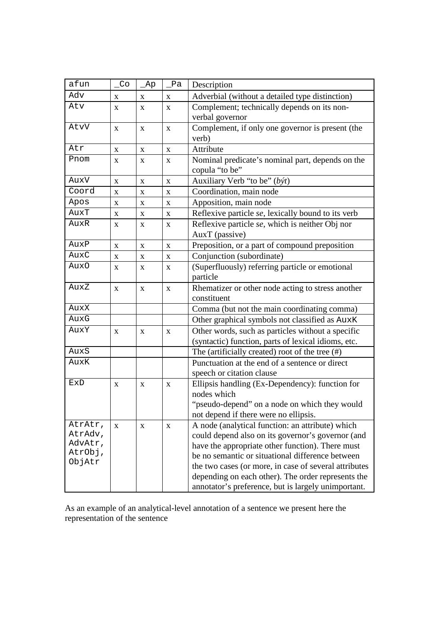| afun               | $\overline{C}$ | Ap           | Pa          | Description                                           |
|--------------------|----------------|--------------|-------------|-------------------------------------------------------|
| Adv                | X              | X            | X           | Adverbial (without a detailed type distinction)       |
| Atv                | X              | $\mathbf{x}$ | X           | Complement; technically depends on its non-           |
|                    |                |              |             | verbal governor                                       |
| AtvV               | X              | X            | $\mathbf X$ | Complement, if only one governor is present (the      |
|                    |                |              |             | verb)                                                 |
| Atr                | X              | X            | X           | Attribute                                             |
| Pnom               | X              | X            | X           | Nominal predicate's nominal part, depends on the      |
|                    |                |              |             | copula "to be"                                        |
| AuxV               | X              | X            | X           | Auxiliary Verb "to be" (být)                          |
| Coord              | X              | X            | X           | Coordination, main node                               |
| Apos               | X              | X            | X           | Apposition, main node                                 |
| AuxT               | X              | $\mathbf X$  | X           | Reflexive particle se, lexically bound to its verb    |
| AuxR               | X              | X            | X           | Reflexive particle se, which is neither Obj nor       |
|                    |                |              |             | AuxT (passive)                                        |
| AuxP               | $\mathbf X$    | X            | $\mathbf X$ | Preposition, or a part of compound preposition        |
| AuxC               | X              | X            | X           | Conjunction (subordinate)                             |
| Aux0               | X              | X            | X           | (Superfluously) referring particle or emotional       |
|                    |                |              |             | particle                                              |
| AuxZ               | X              | $\mathbf X$  | $\mathbf X$ | Rhematizer or other node acting to stress another     |
|                    |                |              |             | constituent                                           |
| AuxX               |                |              |             | Comma (but not the main coordinating comma)           |
| AuxG               |                |              |             | Other graphical symbols not classified as AuxK        |
| AuxY               | X              | X            | X           | Other words, such as particles without a specific     |
|                    |                |              |             | (syntactic) function, parts of lexical idioms, etc.   |
| AuxS               |                |              |             | The (artificially created) root of the tree $(\#)$    |
| AuxK               |                |              |             | Punctuation at the end of a sentence or direct        |
|                    |                |              |             | speech or citation clause                             |
| ExD                | X              | X            | X           | Ellipsis handling (Ex-Dependency): function for       |
|                    |                |              |             | nodes which                                           |
|                    |                |              |             | "pseudo-depend" on a node on which they would         |
|                    |                |              |             | not depend if there were no ellipsis.                 |
| AtrAtr,            | X              | X            | X           | A node (analytical function: an attribute) which      |
| AtrAdv,<br>AdvAtr, |                |              |             | could depend also on its governor's governor (and     |
| AtrObj,            |                |              |             | have the appropriate other function). There must      |
| ObjAtr             |                |              |             | be no semantic or situational difference between      |
|                    |                |              |             | the two cases (or more, in case of several attributes |
|                    |                |              |             | depending on each other). The order represents the    |
|                    |                |              |             | annotator's preference, but is largely unimportant.   |

As an example of an analytical-level annotation of a sentence we present here the representation of the sentence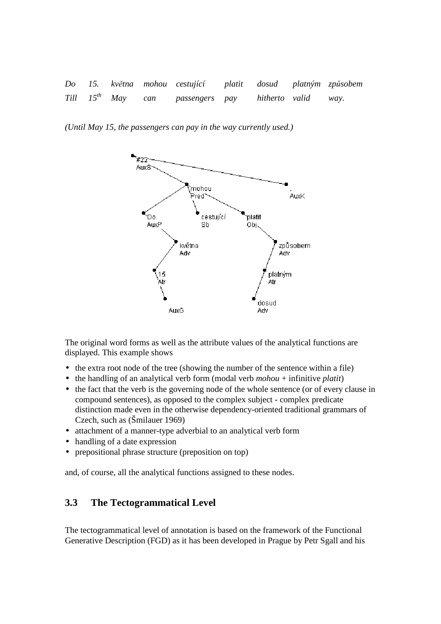*Do 15. kv*ě*tna mohou cestující platit dosud platným zp*ů*sobem Till 15th May can passengers pay hitherto valid way.* 

*(Until May 15, the passengers can pay in the way currently used.)* 



The original word forms as well as the attribute values of the analytical functions are displayed. This example shows

- the extra root node of the tree (showing the number of the sentence within a file)
- the handling of an analytical verb form (modal verb *mohou* + infinitive *platit*)
- the fact that the verb is the governing node of the whole sentence (or of every clause in compound sentences), as opposed to the complex subject - complex predicate distinction made even in the otherwise dependency-oriented traditional grammars of Czech, such as (Šmilauer 1969)
- attachment of a manner-type adverbial to an analytical verb form
- handling of a date expression
- prepositional phrase structure (preposition on top)

and, of course, all the analytical functions assigned to these nodes.

#### **3.3 The Tectogrammatical Level**

The tectogrammatical level of annotation is based on the framework of the Functional Generative Description (FGD) as it has been developed in Prague by Petr Sgall and his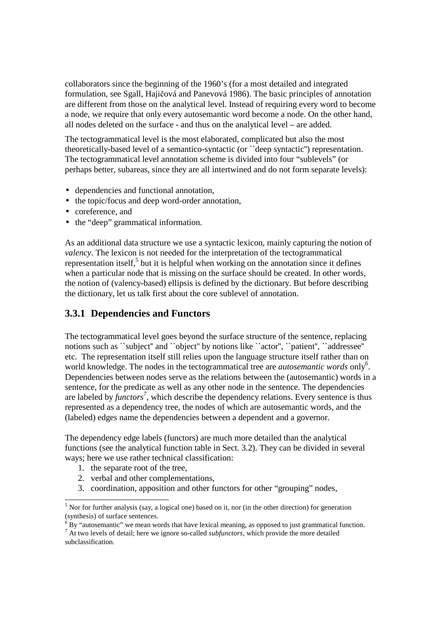collaborators since the beginning of the 1960's (for a most detailed and integrated formulation, see Sgall, Hajičová and Panevová 1986). The basic principles of annotation are different from those on the analytical level. Instead of requiring every word to become a node, we require that only every autosemantic word become a node. On the other hand, all nodes deleted on the surface - and thus on the analytical level – are added.

The tectogrammatical level is the most elaborated, complicated but also the most theoretically-based level of a semantico-syntactic (or ``deep syntactic'') representation. The tectogrammatical level annotation scheme is divided into four "sublevels" (or perhaps better, subareas, since they are all intertwined and do not form separate levels):

- dependencies and functional annotation,
- the topic/focus and deep word-order annotation,
- coreference, and
- the "deep" grammatical information.

As an additional data structure we use a syntactic lexicon, mainly capturing the notion of *valency*. The lexicon is not needed for the interpretation of the tectogrammatical representation itself, $5$  but it is helpful when working on the annotation since it defines when a particular node that is missing on the surface should be created. In other words, the notion of (valency-based) ellipsis is defined by the dictionary. But before describing the dictionary, let us talk first about the core sublevel of annotation.

#### **3.3.1 Dependencies and Functors**

The tectogrammatical level goes beyond the surface structure of the sentence, replacing notions such as ``subject" and ``object" by notions like ``actor", ``patient", ``addressee" etc. The representation itself still relies upon the language structure itself rather than on world knowledge. The nodes in the tectogrammatical tree are *autosemantic words* only<sup>6</sup>. Dependencies between nodes serve as the relations between the (autosemantic) words in a sentence, for the predicate as well as any other node in the sentence. The dependencies are labeled by *functors<sup>7</sup>* , which describe the dependency relations. Every sentence is thus represented as a dependency tree, the nodes of which are autosemantic words, and the (labeled) edges name the dependencies between a dependent and a governor.

The dependency edge labels (functors) are much more detailed than the analytical functions (see the analytical function table in Sect. 3.2). They can be divided in several ways; here we use rather technical classification:

- 1. the separate root of the tree,
- 2. verbal and other complementations,
- 3. coordination, apposition and other functors for other "grouping" nodes,

<sup>&</sup>lt;sup>5</sup> Nor for further analysis (say, a logical one) based on it, nor (in the other direction) for generation (synthesis) of surface sentences.

 $6$  By "autosemantic" we mean words that have lexical meaning, as opposed to just grammatical function.

<sup>7</sup> At two levels of detail; here we ignore so-called *subfunctors*, which provide the more detailed subclassification.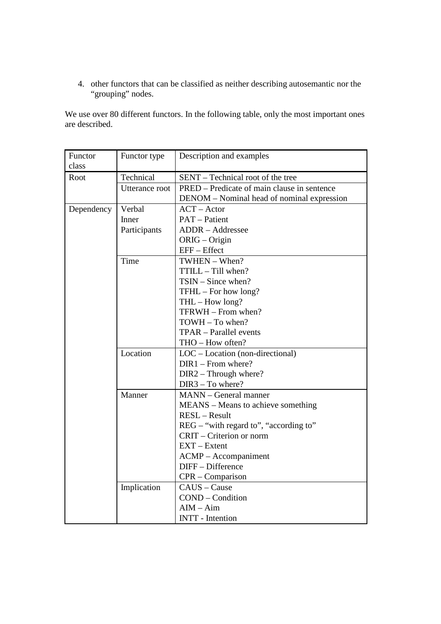4. other functors that can be classified as neither describing autosemantic nor the "grouping" nodes.

We use over 80 different functors. In the following table, only the most important ones are described.

| Functor    | Functor type   | Description and examples                    |
|------------|----------------|---------------------------------------------|
| class      |                |                                             |
| Root       | Technical      | SENT – Technical root of the tree           |
|            | Utterance root | PRED – Predicate of main clause in sentence |
|            |                | DENOM – Nominal head of nominal expression  |
| Dependency | Verbal         | $ACT - Actor$                               |
|            | Inner          | <b>PAT</b> – Patient                        |
|            | Participants   | <b>ADDR</b> - Addressee                     |
|            |                | ORIG - Origin                               |
|            |                | EFF - Effect                                |
|            | Time           | TWHEN - When?                               |
|            |                | TTILL - Till when?                          |
|            |                | $TSIN - Since when?$                        |
|            |                | TFHL - For how long?                        |
|            |                | $THL - How long?$                           |
|            |                | TFRWH - From when?                          |
|            |                | TOWH - To when?                             |
|            |                | TPAR - Parallel events                      |
|            |                | THO - How often?                            |
|            | Location       | $LOC$ – Location (non-directional)          |
|            |                | $DIR1 - From where?$                        |
|            |                | $DIR2 - Through where?$                     |
|            |                | DIR3 - To where?                            |
|            | Manner         | <b>MANN</b> – General manner                |
|            |                | MEANS – Means to achieve something          |
|            |                | RESL-Result                                 |
|            |                | REG – "with regard to", "according to"      |
|            |                | CRIT – Criterion or norm                    |
|            |                | $EXT - Extent$                              |
|            |                | $ACMP - Accompaniment$                      |
|            |                | DIFF - Difference                           |
|            |                | CPR - Comparison                            |
|            | Implication    | CAUS - Cause                                |
|            |                | COND - Condition                            |
|            |                | $AIM - Aim$                                 |
|            |                | <b>INTT</b> - Intention                     |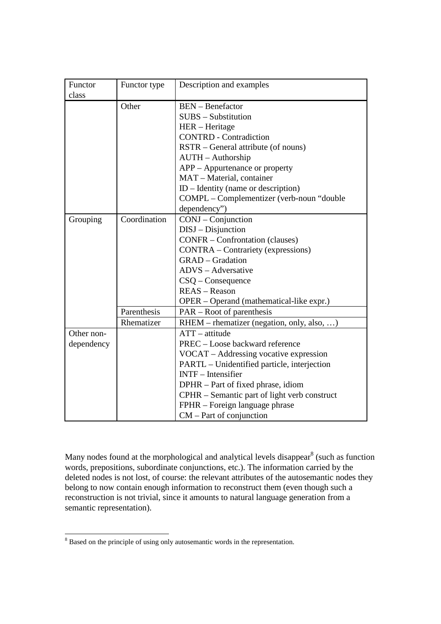| Functor    | Functor type | Description and examples                     |
|------------|--------------|----------------------------------------------|
| class      |              |                                              |
|            | Other        | <b>BEN</b> – Benefactor                      |
|            |              | $SUBS - Substitution$                        |
|            |              | HER – Heritage                               |
|            |              | <b>CONTRD</b> - Contradiction                |
|            |              | RSTR – General attribute (of nouns)          |
|            |              | <b>AUTH</b> – Authorship                     |
|            |              | APP – Appurtenance or property               |
|            |              | MAT - Material, container                    |
|            |              | $ID - Identity$ (name or description)        |
|            |              | COMPL - Complementizer (verb-noun "double    |
|            |              | dependency")                                 |
| Grouping   | Coordination | CONJ – Conjunction                           |
|            |              | $DISJ - Disjunction$                         |
|            |              | <b>CONFR</b> – Confrontation (clauses)       |
|            |              | <b>CONTRA</b> - Contrariety (expressions)    |
|            |              | <b>GRAD</b> - Gradation                      |
|            |              | ADVS - Adversative                           |
|            |              | $CSQ$ – Consequence                          |
|            |              | REAS - Reason                                |
|            |              | OPER – Operand (mathematical-like expr.)     |
|            | Parenthesis  | $PAR - Root of parentheses$                  |
|            | Rhematizer   | RHEM – rhematizer (negation, only, also, )   |
| Other non- |              | $ATT - attitude$                             |
| dependency |              | PREC - Loose backward reference              |
|            |              | VOCAT – Addressing vocative expression       |
|            |              | PARTL – Unidentified particle, interjection  |
|            |              | $INTER - Intensifier$                        |
|            |              | DPHR - Part of fixed phrase, idiom           |
|            |              | CPHR – Semantic part of light verb construct |
|            |              | FPHR – Foreign language phrase               |
|            |              | $CM$ – Part of conjunction                   |

Many nodes found at the morphological and analytical levels disappear $^8$  (such as function words, prepositions, subordinate conjunctions, etc.). The information carried by the deleted nodes is not lost, of course: the relevant attributes of the autosemantic nodes they belong to now contain enough information to reconstruct them (even though such a reconstruction is not trivial, since it amounts to natural language generation from a semantic representation).

<sup>&</sup>lt;sup>8</sup> Based on the principle of using only autosemantic words in the representation.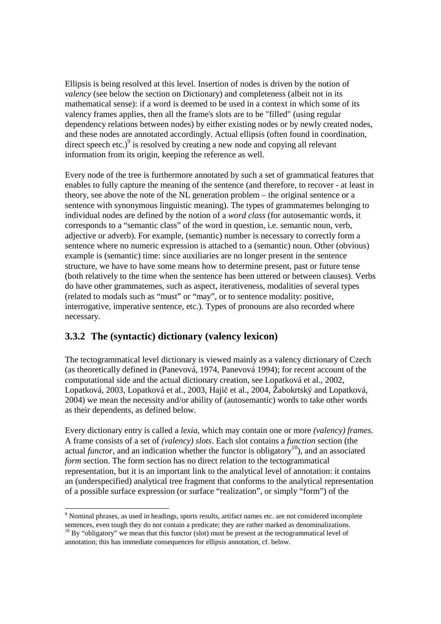Ellipsis is being resolved at this level. Insertion of nodes is driven by the notion of *valency* (see below the section on Dictionary) and completeness (albeit not in its mathematical sense): if a word is deemed to be used in a context in which some of its valency frames applies, then all the frame's slots are to be "filled" (using regular dependency relations between nodes) by either existing nodes or by newly created nodes, and these nodes are annotated accordingly. Actual ellipsis (often found in coordination, direct speech etc.) $\degree$  is resolved by creating a new node and copying all relevant information from its origin, keeping the reference as well.

Every node of the tree is furthermore annotated by such a set of grammatical features that enables to fully capture the meaning of the sentence (and therefore, to recover - at least in theory, see above the note of the NL generation problem – the original sentence or a sentence with synonymous linguistic meaning). The types of grammatemes belonging to individual nodes are defined by the notion of a *word class* (for autosemantic words, it corresponds to a "semantic class" of the word in question, i.e. semantic noun, verb, adjective or adverb). For example, (semantic) number is necessary to correctly form a sentence where no numeric expression is attached to a (semantic) noun. Other (obvious) example is (semantic) time: since auxiliaries are no longer present in the sentence structure, we have to have some means how to determine present, past or future tense (both relatively to the time when the sentence has been uttered or between clauses). Verbs do have other grammatemes, such as aspect, iterativeness, modalities of several types (related to modals such as "must" or "may", or to sentence modality: positive, interrogative, imperative sentence, etc.). Types of pronouns are also recorded where necessary.

# **3.3.2 The (syntactic) dictionary (valency lexicon)**

The tectogrammatical level dictionary is viewed mainly as a valency dictionary of Czech (as theoretically defined in (Panevová, 1974, Panevová 1994); for recent account of the computational side and the actual dictionary creation, see Lopatková et al., 2002, Lopatková, 2003, Lopatková et al., 2003, Hajič et al., 2004, Žabokrtský and Lopatková, 2004) we mean the necessity and/or ability of (autosemantic) words to take other words as their dependents, as defined below.

Every dictionary entry is called a *lexia*, which may contain one or more *(valency) frames*. A frame consists of a set of *(valency) slots*. Each slot contains a *function* section (the actual *functor*, and an indication whether the functor is obligatory<sup>10</sup>), and an associated *form* section. The form section has no direct relation to the tectogrammatical representation, but it is an important link to the analytical level of annotation: it contains an (underspecified) analytical tree fragment that conforms to the analytical representation of a possible surface expression (or surface "realization", or simply "form") of the

 $\overline{a}$ <sup>9</sup> Nominal phrases, as used in headings, sports results, artifact names etc. are not considered incomplete sentences, even tough they do not contain a predicate; they are rather marked as denominalizations.  $10$  By "obligatory" we mean that this functor (slot) must be present at the tectogrammatical level of

annotation; this has immediate consequences for ellipsis annotation, cf. below.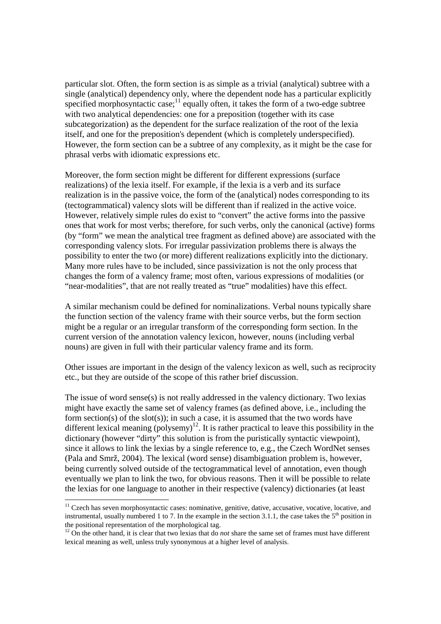particular slot. Often, the form section is as simple as a trivial (analytical) subtree with a single (analytical) dependency only, where the dependent node has a particular explicitly specified morphosyntactic case;<sup>11</sup> equally often, it takes the form of a two-edge subtree with two analytical dependencies: one for a preposition (together with its case subcategorization) as the dependent for the surface realization of the root of the lexia itself, and one for the preposition's dependent (which is completely underspecified). However, the form section can be a subtree of any complexity, as it might be the case for phrasal verbs with idiomatic expressions etc.

Moreover, the form section might be different for different expressions (surface realizations) of the lexia itself. For example, if the lexia is a verb and its surface realization is in the passive voice, the form of the (analytical) nodes corresponding to its (tectogrammatical) valency slots will be different than if realized in the active voice. However, relatively simple rules do exist to "convert" the active forms into the passive ones that work for most verbs; therefore, for such verbs, only the canonical (active) forms (by "form" we mean the analytical tree fragment as defined above) are associated with the corresponding valency slots. For irregular passivization problems there is always the possibility to enter the two (or more) different realizations explicitly into the dictionary. Many more rules have to be included, since passivization is not the only process that changes the form of a valency frame; most often, various expressions of modalities (or "near-modalities", that are not really treated as "true" modalities) have this effect.

A similar mechanism could be defined for nominalizations. Verbal nouns typically share the function section of the valency frame with their source verbs, but the form section might be a regular or an irregular transform of the corresponding form section. In the current version of the annotation valency lexicon, however, nouns (including verbal nouns) are given in full with their particular valency frame and its form.

Other issues are important in the design of the valency lexicon as well, such as reciprocity etc., but they are outside of the scope of this rather brief discussion.

The issue of word sense(s) is not really addressed in the valency dictionary. Two lexias might have exactly the same set of valency frames (as defined above, i.e., including the form section(s) of the slot(s)); in such a case, it is assumed that the two words have different lexical meaning (polysemy)<sup>12</sup>. It is rather practical to leave this possibility in the dictionary (however "dirty" this solution is from the puristically syntactic viewpoint), since it allows to link the lexias by a single reference to, e.g., the Czech WordNet senses (Pala and Smrž, 2004). The lexical (word sense) disambiguation problem is, however, being currently solved outside of the tectogrammatical level of annotation, even though eventually we plan to link the two, for obvious reasons. Then it will be possible to relate the lexias for one language to another in their respective (valency) dictionaries (at least

1

<sup>&</sup>lt;sup>11</sup> Czech has seven morphosyntactic cases: nominative, genitive, dative, accusative, vocative, locative, and instrumental, usually numbered 1 to 7. In the example in the section 3.1.1, the case takes the  $5<sup>th</sup>$  position in the positional representation of the morphological tag.

<sup>&</sup>lt;sup>12</sup> On the other hand, it is clear that two lexias that do *not* share the same set of frames must have different lexical meaning as well, unless truly synonymous at a higher level of analysis.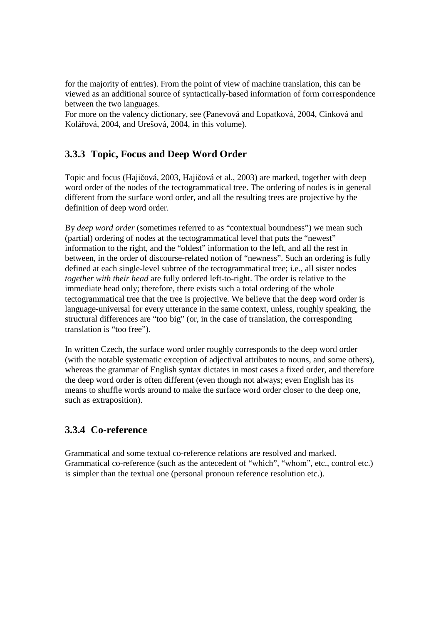for the majority of entries). From the point of view of machine translation, this can be viewed as an additional source of syntactically-based information of form correspondence between the two languages.

For more on the valency dictionary, see (Panevová and Lopatková, 2004, Cinková and Kolářová, 2004, and Urešová, 2004, in this volume).

#### **3.3.3 Topic, Focus and Deep Word Order**

Topic and focus (Hajičová, 2003, Hajičová et al., 2003) are marked, together with deep word order of the nodes of the tectogrammatical tree. The ordering of nodes is in general different from the surface word order, and all the resulting trees are projective by the definition of deep word order.

By *deep word order* (sometimes referred to as "contextual boundness") we mean such (partial) ordering of nodes at the tectogrammatical level that puts the "newest" information to the right, and the "oldest" information to the left, and all the rest in between, in the order of discourse-related notion of "newness". Such an ordering is fully defined at each single-level subtree of the tectogrammatical tree; i.e., all sister nodes *together with their head* are fully ordered left-to-right. The order is relative to the immediate head only; therefore, there exists such a total ordering of the whole tectogrammatical tree that the tree is projective. We believe that the deep word order is language-universal for every utterance in the same context, unless, roughly speaking, the structural differences are "too big" (or, in the case of translation, the corresponding translation is "too free").

In written Czech, the surface word order roughly corresponds to the deep word order (with the notable systematic exception of adjectival attributes to nouns, and some others), whereas the grammar of English syntax dictates in most cases a fixed order, and therefore the deep word order is often different (even though not always; even English has its means to shuffle words around to make the surface word order closer to the deep one, such as extraposition).

#### **3.3.4 Co-reference**

Grammatical and some textual co-reference relations are resolved and marked. Grammatical co-reference (such as the antecedent of "which", "whom", etc., control etc.) is simpler than the textual one (personal pronoun reference resolution etc.).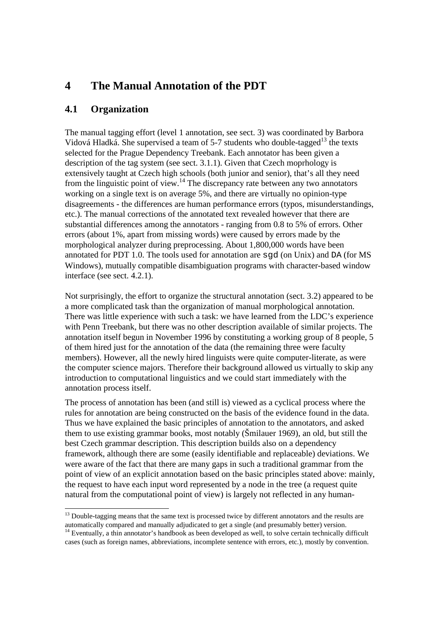# **4 The Manual Annotation of the PDT**

#### **4.1 Organization**

 $\overline{a}$ 

The manual tagging effort (level 1 annotation, see sect. 3) was coordinated by Barbora Vidová Hladká. She supervised a team of 5-7 students who double-tagged<sup>13</sup> the texts selected for the Prague Dependency Treebank. Each annotator has been given a description of the tag system (see sect. 3.1.1). Given that Czech moprhology is extensively taught at Czech high schools (both junior and senior), that's all they need from the linguistic point of view.<sup>14</sup> The discrepancy rate between any two annotators working on a single text is on average 5%, and there are virtually no opinion-type disagreements - the differences are human performance errors (typos, misunderstandings, etc.). The manual corrections of the annotated text revealed however that there are substantial differences among the annotators - ranging from 0.8 to 5% of errors. Other errors (about 1%, apart from missing words) were caused by errors made by the morphological analyzer during preprocessing. About 1,800,000 words have been annotated for PDT 1.0. The tools used for annotation are sgd (on Unix) and DA (for MS Windows), mutually compatible disambiguation programs with character-based window interface (see sect. 4.2.1).

Not surprisingly, the effort to organize the structural annotation (sect. 3.2) appeared to be a more complicated task than the organization of manual morphological annotation. There was little experience with such a task: we have learned from the LDC's experience with Penn Treebank, but there was no other description available of similar projects. The annotation itself begun in November 1996 by constituting a working group of 8 people, 5 of them hired just for the annotation of the data (the remaining three were faculty members). However, all the newly hired linguists were quite computer-literate, as were the computer science majors. Therefore their background allowed us virtually to skip any introduction to computational linguistics and we could start immediately with the annotation process itself.

The process of annotation has been (and still is) viewed as a cyclical process where the rules for annotation are being constructed on the basis of the evidence found in the data. Thus we have explained the basic principles of annotation to the annotators, and asked them to use existing grammar books, most notably (Šmilauer 1969), an old, but still the best Czech grammar description. This description builds also on a dependency framework, although there are some (easily identifiable and replaceable) deviations. We were aware of the fact that there are many gaps in such a traditional grammar from the point of view of an explicit annotation based on the basic principles stated above: mainly, the request to have each input word represented by a node in the tree (a request quite natural from the computational point of view) is largely not reflected in any human-

<sup>&</sup>lt;sup>13</sup> Double-tagging means that the same text is processed twice by different annotators and the results are automatically compared and manually adjudicated to get a single (and presumably better) version.

<sup>&</sup>lt;sup>14</sup> Eventually, a thin annotator's handbook as been developed as well, to solve certain technically difficult cases (such as foreign names, abbreviations, incomplete sentence with errors, etc.), mostly by convention.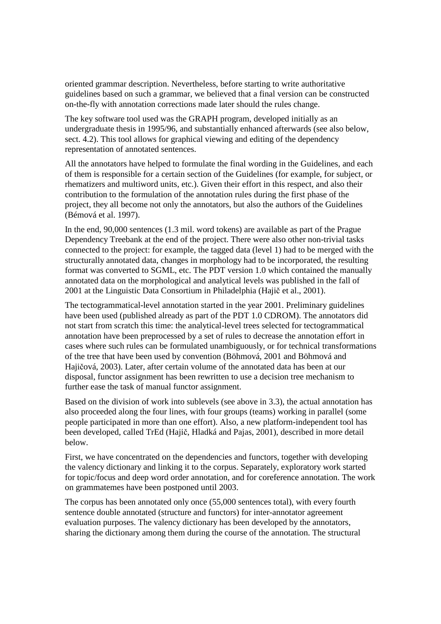oriented grammar description. Nevertheless, before starting to write authoritative guidelines based on such a grammar, we believed that a final version can be constructed on-the-fly with annotation corrections made later should the rules change.

The key software tool used was the GRAPH program, developed initially as an undergraduate thesis in 1995/96, and substantially enhanced afterwards (see also below, sect. 4.2). This tool allows for graphical viewing and editing of the dependency representation of annotated sentences.

All the annotators have helped to formulate the final wording in the Guidelines, and each of them is responsible for a certain section of the Guidelines (for example, for subject, or rhematizers and multiword units, etc.). Given their effort in this respect, and also their contribution to the formulation of the annotation rules during the first phase of the project, they all become not only the annotators, but also the authors of the Guidelines (Bémová et al. 1997).

In the end, 90,000 sentences (1.3 mil. word tokens) are available as part of the Prague Dependency Treebank at the end of the project. There were also other non-trivial tasks connected to the project: for example, the tagged data (level 1) had to be merged with the structurally annotated data, changes in morphology had to be incorporated, the resulting format was converted to SGML, etc. The PDT version 1.0 which contained the manually annotated data on the morphological and analytical levels was published in the fall of 2001 at the Linguistic Data Consortium in Philadelphia (Hajič et al., 2001).

The tectogrammatical-level annotation started in the year 2001. Preliminary guidelines have been used (published already as part of the PDT 1.0 CDROM). The annotators did not start from scratch this time: the analytical-level trees selected for tectogrammatical annotation have been preprocessed by a set of rules to decrease the annotation effort in cases where such rules can be formulated unambiguously, or for technical transformations of the tree that have been used by convention (Böhmová, 2001 and Böhmová and Hajičová, 2003). Later, after certain volume of the annotated data has been at our disposal, functor assignment has been rewritten to use a decision tree mechanism to further ease the task of manual functor assignment.

Based on the division of work into sublevels (see above in 3.3), the actual annotation has also proceeded along the four lines, with four groups (teams) working in parallel (some people participated in more than one effort). Also, a new platform-independent tool has been developed, called TrEd (Hajič, Hladká and Pajas, 2001), described in more detail below.

First, we have concentrated on the dependencies and functors, together with developing the valency dictionary and linking it to the corpus. Separately, exploratory work started for topic/focus and deep word order annotation, and for coreference annotation. The work on grammatemes have been postponed until 2003.

The corpus has been annotated only once (55,000 sentences total), with every fourth sentence double annotated (structure and functors) for inter-annotator agreement evaluation purposes. The valency dictionary has been developed by the annotators, sharing the dictionary among them during the course of the annotation. The structural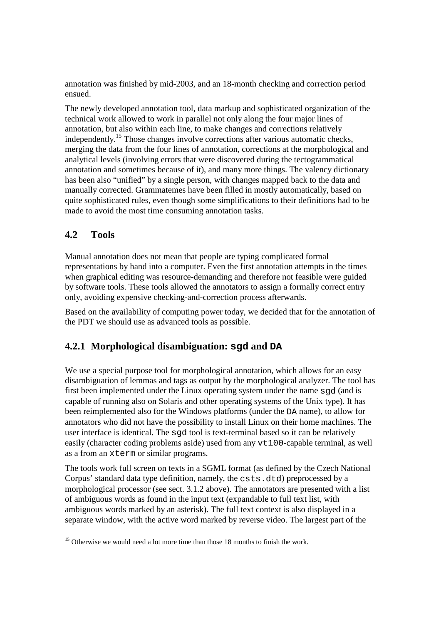annotation was finished by mid-2003, and an 18-month checking and correction period ensued.

The newly developed annotation tool, data markup and sophisticated organization of the technical work allowed to work in parallel not only along the four major lines of annotation, but also within each line, to make changes and corrections relatively independently.<sup>15</sup> Those changes involve corrections after various automatic checks, merging the data from the four lines of annotation, corrections at the morphological and analytical levels (involving errors that were discovered during the tectogrammatical annotation and sometimes because of it), and many more things. The valency dictionary has been also "unified" by a single person, with changes mapped back to the data and manually corrected. Grammatemes have been filled in mostly automatically, based on quite sophisticated rules, even though some simplifications to their definitions had to be made to avoid the most time consuming annotation tasks.

# **4.2 Tools**

Manual annotation does not mean that people are typing complicated formal representations by hand into a computer. Even the first annotation attempts in the times when graphical editing was resource-demanding and therefore not feasible were guided by software tools. These tools allowed the annotators to assign a formally correct entry only, avoiding expensive checking-and-correction process afterwards.

Based on the availability of computing power today, we decided that for the annotation of the PDT we should use as advanced tools as possible.

## **4.2.1 Morphological disambiguation: sgd and DA**

We use a special purpose tool for morphological annotation, which allows for an easy disambiguation of lemmas and tags as output by the morphological analyzer. The tool has first been implemented under the Linux operating system under the name sgd (and is capable of running also on Solaris and other operating systems of the Unix type). It has been reimplemented also for the Windows platforms (under the DA name), to allow for annotators who did not have the possibility to install Linux on their home machines. The user interface is identical. The sgd tool is text-terminal based so it can be relatively easily (character coding problems aside) used from any vt100-capable terminal, as well as a from an xterm or similar programs.

The tools work full screen on texts in a SGML format (as defined by the Czech National Corpus' standard data type definition, namely, the csts.dtd) preprocessed by a morphological processor (see sect. 3.1.2 above). The annotators are presented with a list of ambiguous words as found in the input text (expandable to full text list, with ambiguous words marked by an asterisk). The full text context is also displayed in a separate window, with the active word marked by reverse video. The largest part of the

<sup>1</sup> <sup>15</sup> Otherwise we would need a lot more time than those 18 months to finish the work.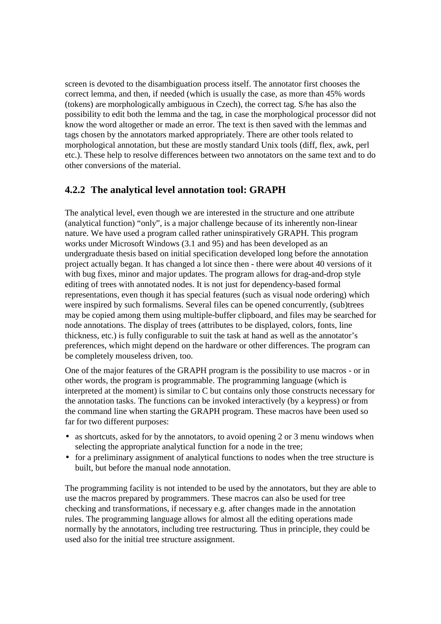screen is devoted to the disambiguation process itself. The annotator first chooses the correct lemma, and then, if needed (which is usually the case, as more than 45% words (tokens) are morphologically ambiguous in Czech), the correct tag. S/he has also the possibility to edit both the lemma and the tag, in case the morphological processor did not know the word altogether or made an error. The text is then saved with the lemmas and tags chosen by the annotators marked appropriately. There are other tools related to morphological annotation, but these are mostly standard Unix tools (diff, flex, awk, perl etc.). These help to resolve differences between two annotators on the same text and to do other conversions of the material.

#### **4.2.2 The analytical level annotation tool: GRAPH**

The analytical level, even though we are interested in the structure and one attribute (analytical function) "only", is a major challenge because of its inherently non-linear nature. We have used a program called rather uninspiratively GRAPH. This program works under Microsoft Windows (3.1 and 95) and has been developed as an undergraduate thesis based on initial specification developed long before the annotation project actually began. It has changed a lot since then - there were about 40 versions of it with bug fixes, minor and major updates. The program allows for drag-and-drop style editing of trees with annotated nodes. It is not just for dependency-based formal representations, even though it has special features (such as visual node ordering) which were inspired by such formalisms. Several files can be opened concurrently, (sub)trees may be copied among them using multiple-buffer clipboard, and files may be searched for node annotations. The display of trees (attributes to be displayed, colors, fonts, line thickness, etc.) is fully configurable to suit the task at hand as well as the annotator's preferences, which might depend on the hardware or other differences. The program can be completely mouseless driven, too.

One of the major features of the GRAPH program is the possibility to use macros - or in other words, the program is programmable. The programming language (which is interpreted at the moment) is similar to C but contains only those constructs necessary for the annotation tasks. The functions can be invoked interactively (by a keypress) or from the command line when starting the GRAPH program. These macros have been used so far for two different purposes:

- as shortcuts, asked for by the annotators, to avoid opening 2 or 3 menu windows when selecting the appropriate analytical function for a node in the tree;
- for a preliminary assignment of analytical functions to nodes when the tree structure is built, but before the manual node annotation.

The programming facility is not intended to be used by the annotators, but they are able to use the macros prepared by programmers. These macros can also be used for tree checking and transformations, if necessary e.g. after changes made in the annotation rules. The programming language allows for almost all the editing operations made normally by the annotators, including tree restructuring. Thus in principle, they could be used also for the initial tree structure assignment.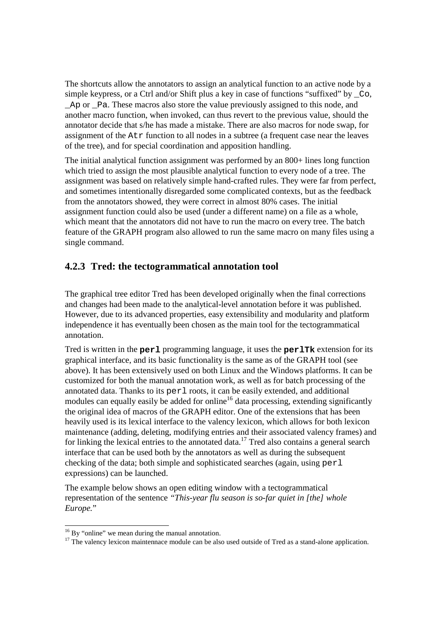The shortcuts allow the annotators to assign an analytical function to an active node by a simple keypress, or a Ctrl and/or Shift plus a key in case of functions "suffixed" by \_Co, \_Ap or \_Pa. These macros also store the value previously assigned to this node, and another macro function, when invoked, can thus revert to the previous value, should the annotator decide that s/he has made a mistake. There are also macros for node swap, for assignment of the Atr function to all nodes in a subtree (a frequent case near the leaves of the tree), and for special coordination and apposition handling.

The initial analytical function assignment was performed by an 800+ lines long function which tried to assign the most plausible analytical function to every node of a tree. The assignment was based on relatively simple hand-crafted rules. They were far from perfect, and sometimes intentionally disregarded some complicated contexts, but as the feedback from the annotators showed, they were correct in almost 80% cases. The initial assignment function could also be used (under a different name) on a file as a whole, which meant that the annotators did not have to run the macro on every tree. The batch feature of the GRAPH program also allowed to run the same macro on many files using a single command.

#### **4.2.3 Tred: the tectogrammatical annotation tool**

The graphical tree editor Tred has been developed originally when the final corrections and changes had been made to the analytical-level annotation before it was published. However, due to its advanced properties, easy extensibility and modularity and platform independence it has eventually been chosen as the main tool for the tectogrammatical annotation.

Tred is written in the **perl** programming language, it uses the **perlTk** extension for its graphical interface, and its basic functionality is the same as of the GRAPH tool (see above). It has been extensively used on both Linux and the Windows platforms. It can be customized for both the manual annotation work, as well as for batch processing of the annotated data. Thanks to its  $per1$  roots, it can be easily extended, and additional modules can equally easily be added for online<sup>16</sup> data processing, extending significantly the original idea of macros of the GRAPH editor. One of the extensions that has been heavily used is its lexical interface to the valency lexicon, which allows for both lexicon maintenance (adding, deleting, modifying entries and their associated valency frames) and for linking the lexical entries to the annotated data.<sup>17</sup> Tred also contains a general search interface that can be used both by the annotators as well as during the subsequent checking of the data; both simple and sophisticated searches (again, using perl expressions) can be launched.

The example below shows an open editing window with a tectogrammatical representation of the sentence *"This-year flu season is so-far quiet in [the] whole Europe.*"

-

 $16$  By "online" we mean during the manual annotation.

 $17$  The valency lexicon maintennace module can be also used outside of Tred as a stand-alone application.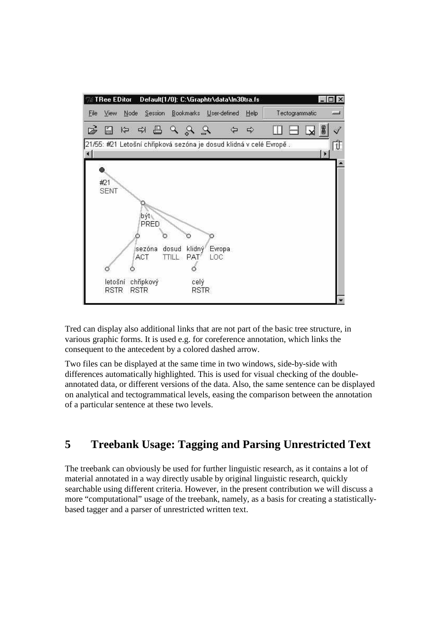

Tred can display also additional links that are not part of the basic tree structure, in various graphic forms. It is used e.g. for coreference annotation, which links the consequent to the antecedent by a colored dashed arrow.

Two files can be displayed at the same time in two windows, side-by-side with differences automatically highlighted. This is used for visual checking of the doubleannotated data, or different versions of the data. Also, the same sentence can be displayed on analytical and tectogrammatical levels, easing the comparison between the annotation of a particular sentence at these two levels.

# **5 Treebank Usage: Tagging and Parsing Unrestricted Text**

The treebank can obviously be used for further linguistic research, as it contains a lot of material annotated in a way directly usable by original linguistic research, quickly searchable using different criteria. However, in the present contribution we will discuss a more "computational" usage of the treebank, namely, as a basis for creating a statisticallybased tagger and a parser of unrestricted written text.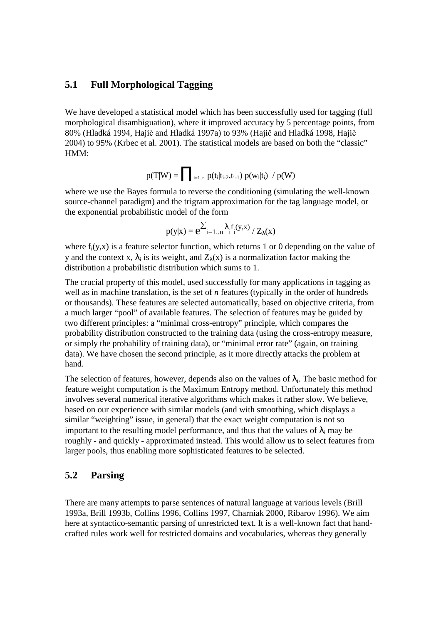#### **5.1 Full Morphological Tagging**

We have developed a statistical model which has been successfully used for tagging (full morphological disambiguation), where it improved accuracy by 5 percentage points, from 80% (Hladká 1994, Hajič and Hladká 1997a) to 93% (Hajič and Hladká 1998, Hajič 2004) to 95% (Krbec et al. 2001). The statistical models are based on both the "classic" HMM:

$$
p(T|W) = \prod\nolimits_{\rm i=1..n} p(t_{\rm i}|t_{\rm i-2},t_{\rm i-1})\ p(w_{\rm i}|t_{\rm i})\ / \ p(W)
$$

where we use the Bayes formula to reverse the conditioning (simulating the well-known source-channel paradigm) and the trigram approximation for the tag language model, or the exponential probabilistic model of the form

$$
p(y|x) = e^{\sum_{i=1..n} \lambda_i f_i(y,x)}/Z_\lambda(x)
$$

where  $f_i(y,x)$  is a feature selector function, which returns 1 or 0 depending on the value of y and the context x,  $\lambda_i$  is its weight, and  $Z_{\lambda}(x)$  is a normalization factor making the distribution a probabilistic distribution which sums to 1.

The crucial property of this model, used successfully for many applications in tagging as well as in machine translation, is the set of *n* features (typically in the order of hundreds or thousands). These features are selected automatically, based on objective criteria, from a much larger "pool" of available features. The selection of features may be guided by two different principles: a "minimal cross-entropy" principle, which compares the probability distribution constructed to the training data (using the cross-entropy measure, or simply the probability of training data), or "minimal error rate" (again, on training data). We have chosen the second principle, as it more directly attacks the problem at hand.

The selection of features, however, depends also on the values of  $\lambda_i$ . The basic method for feature weight computation is the Maximum Entropy method. Unfortunately this method involves several numerical iterative algorithms which makes it rather slow. We believe, based on our experience with similar models (and with smoothing, which displays a similar "weighting" issue, in general) that the exact weight computation is not so important to the resulting model performance, and thus that the values of  $\lambda_i$  may be roughly - and quickly - approximated instead. This would allow us to select features from larger pools, thus enabling more sophisticated features to be selected.

#### **5.2 Parsing**

There are many attempts to parse sentences of natural language at various levels (Brill 1993a, Brill 1993b, Collins 1996, Collins 1997, Charniak 2000, Ribarov 1996). We aim here at syntactico-semantic parsing of unrestricted text. It is a well-known fact that handcrafted rules work well for restricted domains and vocabularies, whereas they generally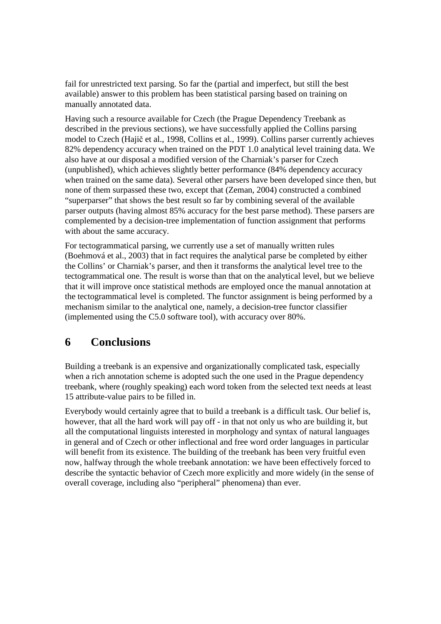fail for unrestricted text parsing. So far the (partial and imperfect, but still the best available) answer to this problem has been statistical parsing based on training on manually annotated data.

Having such a resource available for Czech (the Prague Dependency Treebank as described in the previous sections), we have successfully applied the Collins parsing model to Czech (Hajič et al., 1998, Collins et al., 1999). Collins parser currently achieves 82% dependency accuracy when trained on the PDT 1.0 analytical level training data. We also have at our disposal a modified version of the Charniak's parser for Czech (unpublished), which achieves slightly better performance (84% dependency accuracy when trained on the same data). Several other parsers have been developed since then, but none of them surpassed these two, except that (Zeman, 2004) constructed a combined "superparser" that shows the best result so far by combining several of the available parser outputs (having almost 85% accuracy for the best parse method). These parsers are complemented by a decision-tree implementation of function assignment that performs with about the same accuracy.

For tectogrammatical parsing, we currently use a set of manually written rules (Boehmová et al., 2003) that in fact requires the analytical parse be completed by either the Collins' or Charniak's parser, and then it transforms the analytical level tree to the tectogrammatical one. The result is worse than that on the analytical level, but we believe that it will improve once statistical methods are employed once the manual annotation at the tectogrammatical level is completed. The functor assignment is being performed by a mechanism similar to the analytical one, namely, a decision-tree functor classifier (implemented using the C5.0 software tool), with accuracy over 80%.

# **6 Conclusions**

Building a treebank is an expensive and organizationally complicated task, especially when a rich annotation scheme is adopted such the one used in the Prague dependency treebank, where (roughly speaking) each word token from the selected text needs at least 15 attribute-value pairs to be filled in.

Everybody would certainly agree that to build a treebank is a difficult task. Our belief is, however, that all the hard work will pay off - in that not only us who are building it, but all the computational linguists interested in morphology and syntax of natural languages in general and of Czech or other inflectional and free word order languages in particular will benefit from its existence. The building of the treebank has been very fruitful even now, halfway through the whole treebank annotation: we have been effectively forced to describe the syntactic behavior of Czech more explicitly and more widely (in the sense of overall coverage, including also "peripheral" phenomena) than ever.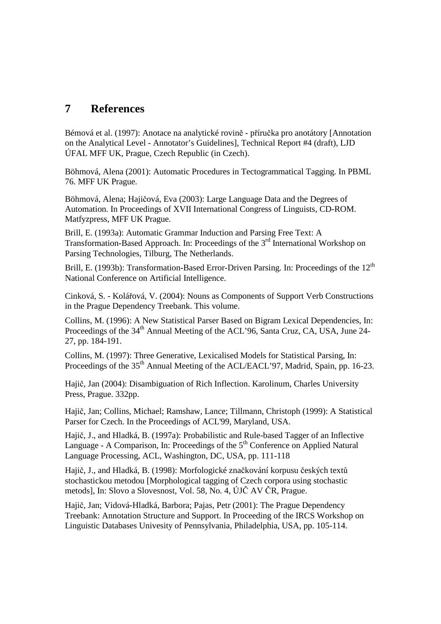# **7 References**

Bémová et al. (1997): Anotace na analytické rovině - příručka pro anotátory [Annotation on the Analytical Level - Annotator's Guidelines], Technical Report #4 (draft), LJD ÚFAL MFF UK, Prague, Czech Republic (in Czech).

Böhmová, Alena (2001): Automatic Procedures in Tectogrammatical Tagging. In PBML 76. MFF UK Prague.

Böhmová, Alena; Hajičová, Eva (2003): Large Language Data and the Degrees of Automation. In Proceedings of XVII International Congress of Linguists, CD-ROM. Matfyzpress, MFF UK Prague.

Brill, E. (1993a): Automatic Grammar Induction and Parsing Free Text: A Transformation-Based Approach. In: Proceedings of the  $3<sup>rd</sup>$  International Workshop on Parsing Technologies, Tilburg, The Netherlands.

Brill, E. (1993b): Transformation-Based Error-Driven Parsing. In: Proceedings of the 12<sup>th</sup> National Conference on Artificial Intelligence.

Cinková, S. - Kolářová, V. (2004): Nouns as Components of Support Verb Constructions in the Prague Dependency Treebank. This volume.

Collins, M. (1996): A New Statistical Parser Based on Bigram Lexical Dependencies, In: Proceedings of the 34<sup>th</sup> Annual Meeting of the ACL'96, Santa Cruz, CA, USA, June 24-27, pp. 184-191.

Collins, M. (1997): Three Generative, Lexicalised Models for Statistical Parsing, In: Proceedings of the 35<sup>th</sup> Annual Meeting of the ACL/EACL'97, Madrid, Spain, pp. 16-23.

Hajič, Jan (2004): Disambiguation of Rich Inflection. Karolinum, Charles University Press, Prague. 332pp.

Hajič, Jan; Collins, Michael; Ramshaw, Lance; Tillmann, Christoph (1999): A Statistical Parser for Czech. In the Proceedings of ACL'99, Maryland, USA.

Hajič, J., and Hladká, B. (1997a): Probabilistic and Rule-based Tagger of an Inflective Language - A Comparison, In: Proceedings of the  $5<sup>th</sup>$  Conference on Applied Natural Language Processing, ACL, Washington, DC, USA, pp. 111-118

Hajič, J., and Hladká, B. (1998): Morfologické značkování korpusu českých textů stochastickou metodou [Morphological tagging of Czech corpora using stochastic metods], In: Slovo a Slovesnost, Vol. 58, No. 4, ÚJČ AV ČR, Prague.

Hajič, Jan; Vidová-Hladká, Barbora; Pajas, Petr (2001): The Prague Dependency Treebank: Annotation Structure and Support. In Proceeding of the IRCS Workshop on Linguistic Databases Univesity of Pennsylvania, Philadelphia, USA, pp. 105-114.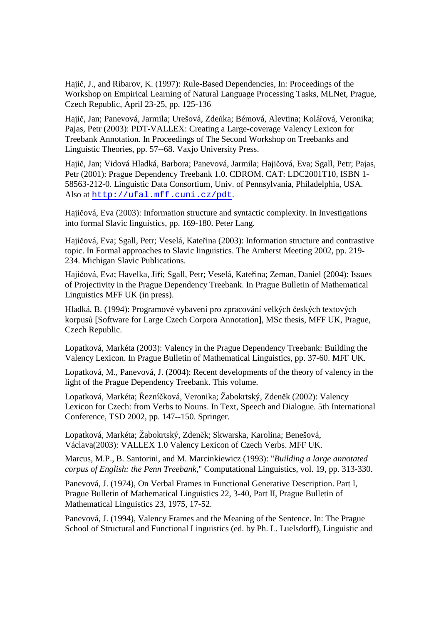Hajič, J., and Ribarov, K. (1997): Rule-Based Dependencies, In: Proceedings of the Workshop on Empirical Learning of Natural Language Processing Tasks, MLNet, Prague, Czech Republic, April 23-25, pp. 125-136

Hajič, Jan; Panevová, Jarmila; Urešová, Zdeňka; Bémová, Alevtina; Kolářová, Veronika; Pajas, Petr (2003): PDT-VALLEX: Creating a Large-coverage Valency Lexicon for Treebank Annotation. In Proceedings of The Second Workshop on Treebanks and Linguistic Theories, pp. 57--68. Vaxjo University Press.

Hajič, Jan; Vidová Hladká, Barbora; Panevová, Jarmila; Hajičová, Eva; Sgall, Petr; Pajas, Petr (2001): Prague Dependency Treebank 1.0. CDROM. CAT: LDC2001T10, ISBN 1- 58563-212-0. Linguistic Data Consortium, Univ. of Pennsylvania, Philadelphia, USA. Also at http://ufal.mff.cuni.cz/pdt.

Hajičová, Eva (2003): Information structure and syntactic complexity. In Investigations into formal Slavic linguistics, pp. 169-180. Peter Lang.

Hajičová, Eva; Sgall, Petr; Veselá, Kateřina (2003): Information structure and contrastive topic. In Formal approaches to Slavic linguistics. The Amherst Meeting 2002, pp. 219- 234. Michigan Slavic Publications.

Hajičová, Eva; Havelka, Jiří; Sgall, Petr; Veselá, Kateřina; Zeman, Daniel (2004): Issues of Projectivity in the Prague Dependency Treebank. In Prague Bulletin of Mathematical Linguistics MFF UK (in press).

Hladká, B. (1994): Programové vybavení pro zpracování velkých českých textových korpusů [Software for Large Czech Corpora Annotation], MSc thesis, MFF UK, Prague, Czech Republic.

Lopatková, Markéta (2003): Valency in the Prague Dependency Treebank: Building the Valency Lexicon. In Prague Bulletin of Mathematical Linguistics, pp. 37-60. MFF UK.

Lopatková, M., Panevová, J. (2004): Recent developments of the theory of valency in the light of the Prague Dependency Treebank. This volume.

Lopatková, Markéta; Řezníčková, Veronika; Žabokrtský, Zdeněk (2002): Valency Lexicon for Czech: from Verbs to Nouns. In Text, Speech and Dialogue. 5th International Conference, TSD 2002, pp. 147--150. Springer.

Lopatková, Markéta; Žabokrtský, Zdeněk; Skwarska, Karolina; Benešová, Václava(2003): VALLEX 1.0 Valency Lexicon of Czech Verbs. MFF UK.

Marcus, M.P., B. Santorini, and M. Marcinkiewicz (1993): "*Building a large annotated corpus of English: the Penn Treebank*," Computational Linguistics, vol. 19, pp. 313-330.

Panevová, J. (1974), On Verbal Frames in Functional Generative Description. Part I, Prague Bulletin of Mathematical Linguistics 22, 3-40, Part II, Prague Bulletin of Mathematical Linguistics 23, 1975, 17-52.

Panevová, J. (1994), Valency Frames and the Meaning of the Sentence. In: The Prague School of Structural and Functional Linguistics (ed. by Ph. L. Luelsdorff), Linguistic and